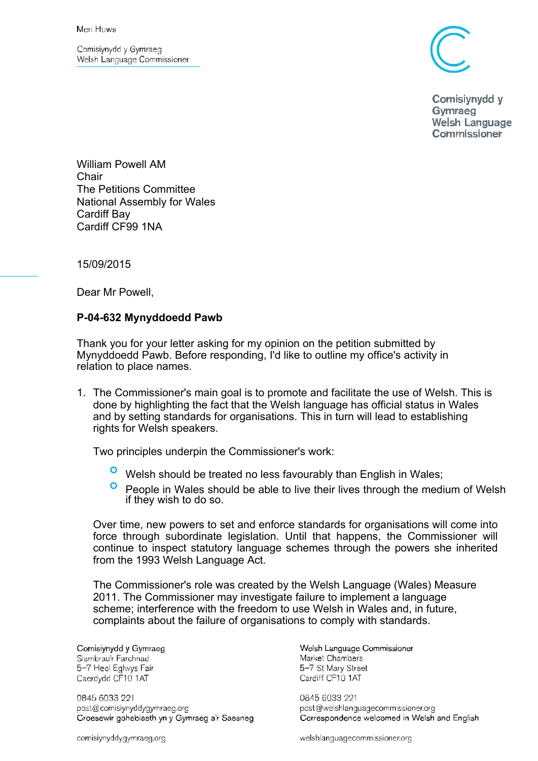Comisiynydd y Gymraeg Welsh Language Commissioner



Comisivnydd v Gymraeg Welsh Language Commissioner

William Powell AM Chair The Petitions Committee National Assembly for Wales Cardiff Bay Cardiff CF99 1NA

15/09/2015

Dear Mr Powell,

## **P-04-632 Mynyddoedd Pawb**

Thank you for your letter asking for my opinion on the petition submitted by Mynyddoedd Pawb. Before responding, I'd like to outline my office's activity in relation to place names.

1. The Commissioner's main goal is to promote and facilitate the use of Welsh. This is done by highlighting the fact that the Welsh language has official status in Wales and by setting standards for organisations. This in turn will lead to establishing rights for Welsh speakers.

Two principles underpin the Commissioner's work:

- Welsh should be treated no less favourably than English in Wales;
- **People in Wales should be able to live their lives through the medium of Welsh** if they wish to do so.

Over time, new powers to set and enforce standards for organisations will come into force through subordinate legislation. Until that happens, the Commissioner will continue to inspect statutory language schemes through the powers she inherited from the 1993 Welsh Language Act.

The Commissioner's role was created by the Welsh Language (Wales) Measure 2011. The Commissioner may investigate failure to implement a language scheme; interference with the freedom to use Welsh in Wales and, in future, complaints about the failure of organisations to comply with standards.

Comisiynydd y Gymraeg Siambrau'r Farchnad 5-7 Heol Eglwys Fair Caerdydd CF10 1AT

0845 6033 221 post@comisiynyddygymraeg.org Croesewir gohebiaeth yn y Gymraeg a'r Saesneg Welsh Language Commissioner Market Chambers 5-7 St Mary Street Cardiff CF10 1AT

0845 6033 221 post@welshlanguagecommissioner.org Correspondence welcomed in Welsh and English

comisiynyddygymraeg.org

welshlanguagecommissioner.org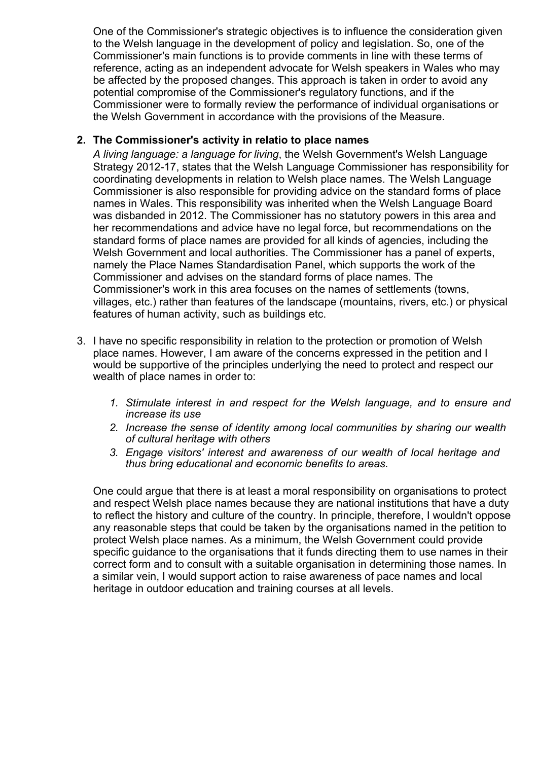One of the Commissioner's strategic objectives is to influence the consideration given to the Welsh language in the development of policy and legislation. So, one of the Commissioner's main functions is to provide comments in line with these terms of reference, acting as an independent advocate for Welsh speakers in Wales who may be affected by the proposed changes. This approach is taken in order to avoid any potential compromise of the Commissioner's regulatory functions, and if the Commissioner were to formally review the performance of individual organisations or the Welsh Government in accordance with the provisions of the Measure.

## **2. The Commissioner's activity in relatio to place names**

*A living language: a language for living*, the Welsh Government's Welsh Language Strategy 2012-17, states that the Welsh Language Commissioner has responsibility for coordinating developments in relation to Welsh place names. The Welsh Language Commissioner is also responsible for providing advice on the standard forms of place names in Wales. This responsibility was inherited when the Welsh Language Board was disbanded in 2012. The Commissioner has no statutory powers in this area and her recommendations and advice have no legal force, but recommendations on the standard forms of place names are provided for all kinds of agencies, including the Welsh Government and local authorities. The Commissioner has a panel of experts, namely the Place Names Standardisation Panel, which supports the work of the Commissioner and advises on the standard forms of place names. The Commissioner's work in this area focuses on the names of settlements (towns, villages, etc.) rather than features of the landscape (mountains, rivers, etc.) or physical features of human activity, such as buildings etc.

- 3. I have no specific responsibility in relation to the protection or promotion of Welsh place names. However, I am aware of the concerns expressed in the petition and I would be supportive of the principles underlying the need to protect and respect our wealth of place names in order to:
	- *1. Stimulate interest in and respect for the Welsh language, and to ensure and increase its use*
	- *2. Increase the sense of identity among local communities by sharing our wealth of cultural heritage with others*
	- *3. Engage visitors' interest and awareness of our wealth of local heritage and thus bring educational and economic benefits to areas.*

One could argue that there is at least a moral responsibility on organisations to protect and respect Welsh place names because they are national institutions that have a duty to reflect the history and culture of the country. In principle, therefore, I wouldn't oppose any reasonable steps that could be taken by the organisations named in the petition to protect Welsh place names. As a minimum, the Welsh Government could provide specific quidance to the organisations that it funds directing them to use names in their correct form and to consult with a suitable organisation in determining those names. In a similar vein, I would support action to raise awareness of pace names and local heritage in outdoor education and training courses at all levels.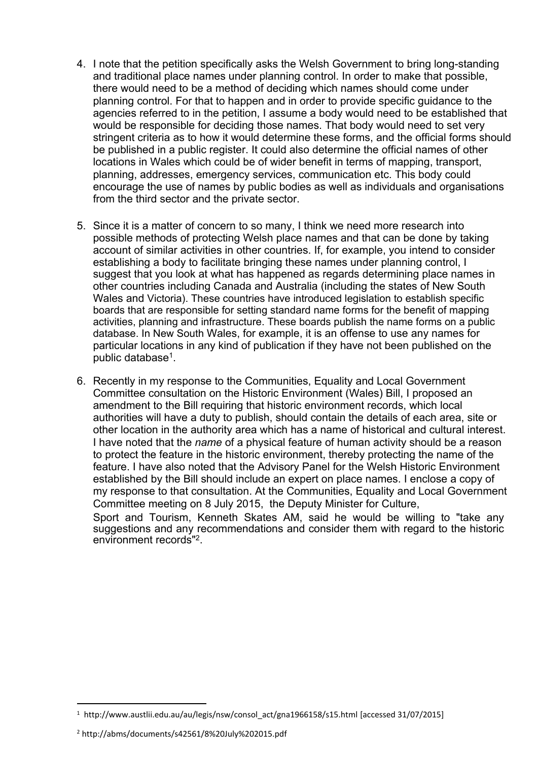- 4. I note that the petition specifically asks the Welsh Government to bring long-standing and traditional place names under planning control. In order to make that possible, there would need to be a method of deciding which names should come under planning control. For that to happen and in order to provide specific guidance to the agencies referred to in the petition, I assume a body would need to be established that would be responsible for deciding those names. That body would need to set very stringent criteria as to how it would determine these forms, and the official forms should be published in a public register. It could also determine the official names of other locations in Wales which could be of wider benefit in terms of mapping, transport, planning, addresses, emergency services, communication etc. This body could encourage the use of names by public bodies as well as individuals and organisations from the third sector and the private sector.
- 5. Since it is a matter of concern to so many, I think we need more research into possible methods of protecting Welsh place names and that can be done by taking account of similar activities in other countries. If, for example, you intend to consider establishing a body to facilitate bringing these names under planning control, I suggest that you look at what has happened as regards determining place names in other countries including Canada and Australia (including the states of New South Wales and Victoria). These countries have introduced legislation to establish specific boards that are responsible for setting standard name forms for the benefit of mapping activities, planning and infrastructure. These boards publish the name forms on a public database. In New South Wales, for example, it is an offense to use any names for particular locations in any kind of publication if they have not been published on the public database<sup>1</sup>.
- 6. Recently in my response to the Communities, Equality and Local Government Committee consultation on the Historic Environment (Wales) Bill, I proposed an amendment to the Bill requiring that historic environment records, which local authorities will have a duty to publish, should contain the details of each area, site or other location in the authority area which has a name of historical and cultural interest. I have noted that the *name* of a physical feature of human activity should be a reason to protect the feature in the historic environment, thereby protecting the name of the feature. I have also noted that the Advisory Panel for the Welsh Historic Environment established by the Bill should include an expert on place names. I enclose a copy of my response to that consultation. At the Communities, Equality and Local Government Committee meeting on 8 July 2015, the Deputy Minister for Culture, Sport and Tourism, Kenneth Skates AM, said he would be willing to "take any suggestions and any recommendations and consider them with regard to the historic environment records"<sup>2</sup> .

<sup>1</sup> http://www.austlii.edu.au/au/legis/nsw/consol\_act/gna1966158/s15.html [accessed 31/07/2015]

<sup>2</sup> http://abms/documents/s42561/8%20July%202015.pdf